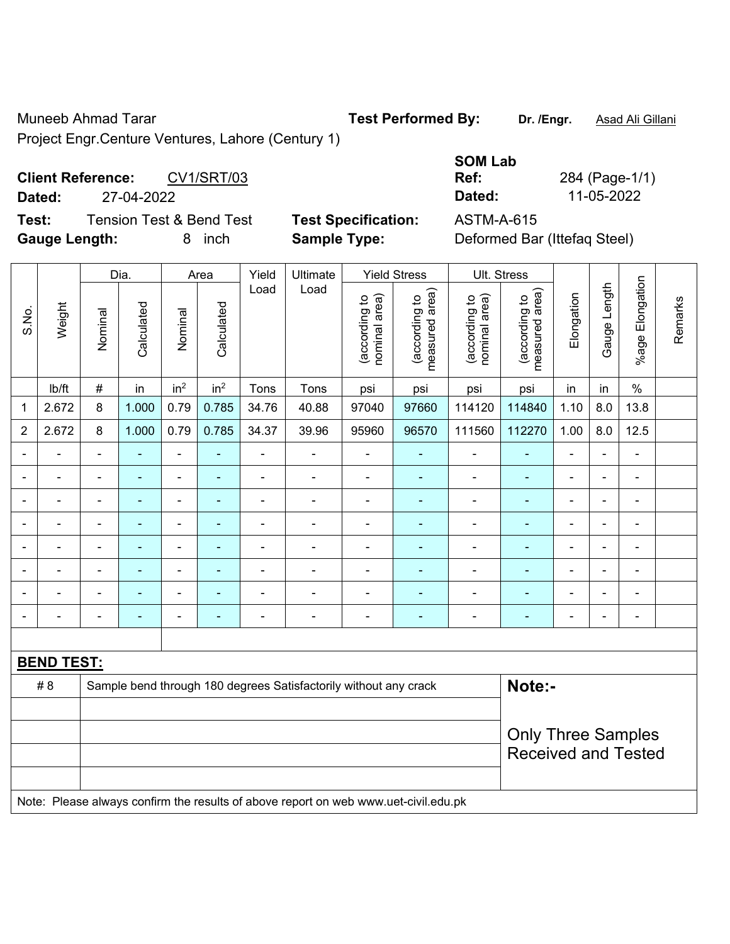Muneeb Ahmad Tarar **Test Performed By:** Dr. /Engr. **Asad Ali Gillani** Assembly Computer Assembly Computer Assembly

Project Engr.Centure Ventures, Lahore (Century 1)

**Client Reference:** CV1/SRT/03 **Dated:** 27-04-2022 **Dated:** 11-05-2022

**Test:** Tension Test & Bend Test **Test Specification:** ASTM-A-615 **Gauge Length:** 8 inch **Sample Type:** Deformed Bar (Ittefaq Steel)

| <b>SOM Lab</b> |                |
|----------------|----------------|
| Ref:           | 284 (Page-1/1) |
| Dated:         | 11-05-2022     |
|                |                |

|                |                   |                | Dia.           |                 | Area            | Yield                    | Ultimate                                                                            |                                | <b>Yield Stress</b>             |                                | Ult. Stress                     |                |                |                          |         |
|----------------|-------------------|----------------|----------------|-----------------|-----------------|--------------------------|-------------------------------------------------------------------------------------|--------------------------------|---------------------------------|--------------------------------|---------------------------------|----------------|----------------|--------------------------|---------|
| S.No.          | Weight            | Nominal        | Calculated     | Nominal         | Calculated      | Load                     | Load                                                                                | nominal area)<br>(according to | (according to<br>measured area) | nominal area)<br>(according to | (according to<br>measured area) | Elongation     | Gauge Length   | Elongation<br>$%$ age I  | Remarks |
|                | lb/ft             | $\#$           | in             | in <sup>2</sup> | in <sup>2</sup> | Tons                     | Tons                                                                                | psi                            | psi                             | psi                            | psi                             | in             | in             | $\%$                     |         |
| 1              | 2.672             | 8              | 1.000          | 0.79            | 0.785           | 34.76                    | 40.88                                                                               | 97040                          | 97660                           | 114120                         | 114840                          | 1.10           | 8.0            | 13.8                     |         |
| $\overline{2}$ | 2.672             | 8              | 1.000          | 0.79            | 0.785           | 34.37                    | 39.96                                                                               | 95960                          | 96570                           | 111560                         | 112270                          | 1.00           | 8.0            | 12.5                     |         |
|                |                   |                |                | ä,              |                 | ä,                       | $\blacksquare$                                                                      | $\blacksquare$                 |                                 |                                |                                 |                |                | ä,                       |         |
| $\blacksquare$ | $\blacksquare$    | $\blacksquare$ | ä,             | ÷,              | ٠               | ä,                       | $\blacksquare$                                                                      | $\blacksquare$                 | $\blacksquare$                  | ä,                             | $\blacksquare$                  | $\blacksquare$ | $\blacksquare$ | $\blacksquare$           |         |
| $\blacksquare$ | $\blacksquare$    | $\blacksquare$ | $\blacksquare$ | ÷               | $\blacksquare$  | $\overline{\phantom{a}}$ | $\overline{\phantom{a}}$                                                            | $\blacksquare$                 | $\blacksquare$                  | $\blacksquare$                 | $\blacksquare$                  | $\blacksquare$ | $\blacksquare$ | $\overline{\phantom{a}}$ |         |
|                | $\blacksquare$    | $\blacksquare$ | $\blacksquare$ | ÷,              |                 | $\blacksquare$           | $\blacksquare$                                                                      | $\overline{a}$                 |                                 | $\blacksquare$                 | $\blacksquare$                  | $\blacksquare$ |                | $\overline{\phantom{a}}$ |         |
|                | ÷,                | $\blacksquare$ | $\blacksquare$ | ä,              |                 | $\blacksquare$           | ä,                                                                                  | $\blacksquare$                 | $\blacksquare$                  | $\blacksquare$                 | $\blacksquare$                  | $\blacksquare$ |                | $\blacksquare$           |         |
|                | $\overline{a}$    |                | ۰              | ۰               |                 | $\overline{\phantom{0}}$ | $\blacksquare$                                                                      | $\blacksquare$                 |                                 |                                | $\blacksquare$                  |                |                | $\blacksquare$           |         |
|                | $\overline{a}$    |                |                | ۰               |                 |                          |                                                                                     | $\blacksquare$                 |                                 |                                | $\blacksquare$                  |                |                | $\blacksquare$           |         |
| $\blacksquare$ |                   | $\blacksquare$ | ۰              | $\blacksquare$  |                 | Ē,                       | $\blacksquare$                                                                      | $\blacksquare$                 | $\blacksquare$                  | ÷                              | $\blacksquare$                  | $\blacksquare$ |                | $\blacksquare$           |         |
|                |                   |                |                |                 |                 |                          |                                                                                     |                                |                                 |                                |                                 |                |                |                          |         |
|                | <b>BEND TEST:</b> |                |                |                 |                 |                          |                                                                                     |                                |                                 |                                |                                 |                |                |                          |         |
|                | #8                |                |                |                 |                 |                          | Sample bend through 180 degrees Satisfactorily without any crack                    |                                |                                 |                                | Note:-                          |                |                |                          |         |
|                |                   |                |                |                 |                 |                          |                                                                                     |                                |                                 |                                |                                 |                |                |                          |         |
|                |                   |                |                |                 |                 |                          |                                                                                     |                                |                                 |                                | <b>Only Three Samples</b>       |                |                |                          |         |
|                |                   |                |                |                 |                 |                          |                                                                                     |                                |                                 |                                | <b>Received and Tested</b>      |                |                |                          |         |
|                |                   |                |                |                 |                 |                          |                                                                                     |                                |                                 |                                |                                 |                |                |                          |         |
|                |                   |                |                |                 |                 |                          | Note: Please always confirm the results of above report on web www.uet-civil.edu.pk |                                |                                 |                                |                                 |                |                |                          |         |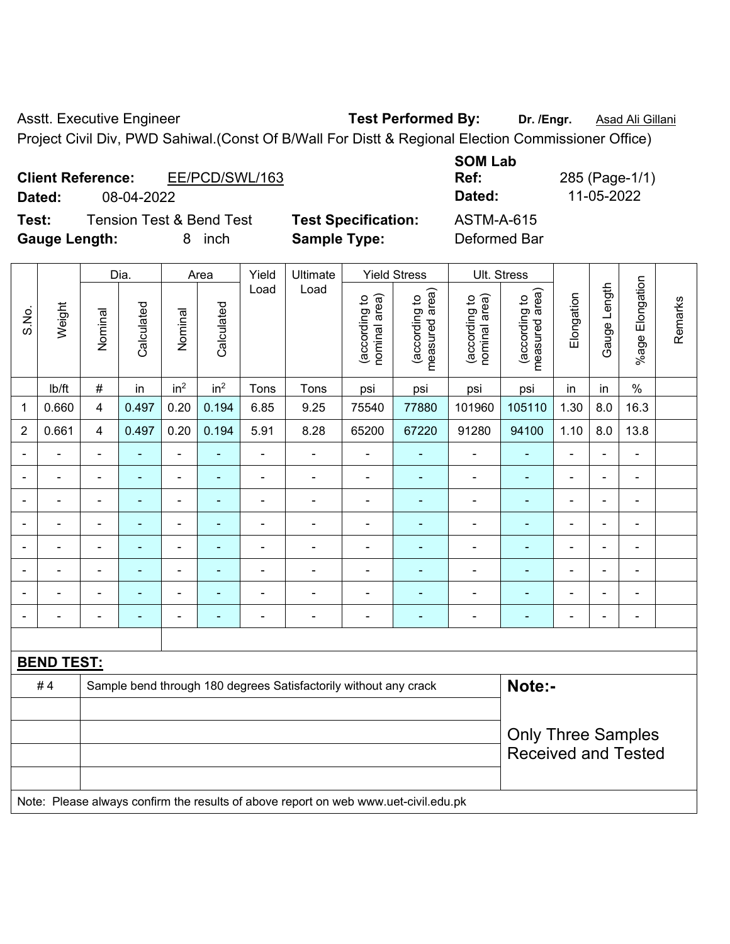Asstt. Executive Engineer **Test Performed By:** Dr. /Engr. **Asad Ali Gillani** 

Project Civil Div, PWD Sahiwal.(Const Of B/Wall For Distt & Regional Election Commissioner Office)

| <b>Client Reference:</b> |            | EE/PCD/SWL/163 |  |  | Ref:   | 285 (Page-1/ |
|--------------------------|------------|----------------|--|--|--------|--------------|
| Dated:                   | 08-04-2022 |                |  |  | Dated: | 11-05-2022   |
| _                        |            |                |  |  | .      |              |

**Test:** Tension Test & Bend Test **Test Specification:** ASTM-A-615 **Gauge Length:** 8 inch **Sample Type:** Deformed Bar

**SOM Lab Ref:** 285 (Page-1/1)

|                |                   |                | Dia.           |                 | Area            | Yield          | Ultimate                                                         |                                | <b>Yield Stress</b>             |                                | Ult. Stress                                             |                |                |                              |         |
|----------------|-------------------|----------------|----------------|-----------------|-----------------|----------------|------------------------------------------------------------------|--------------------------------|---------------------------------|--------------------------------|---------------------------------------------------------|----------------|----------------|------------------------------|---------|
| S.No.          | Weight            | Nominal        | Calculated     | Nominal         | Calculated      | Load           | Load                                                             | (according to<br>nominal area) | measured area)<br>(according to | nominal area)<br>(according to | (according to<br>measured area)                         | Elongation     | Gauge Length   | Elongation<br>$%$ age        | Remarks |
|                | Ib/ft             | $\#$           | in             | in <sup>2</sup> | in <sup>2</sup> | Tons           | Tons                                                             | psi                            | psi                             | psi                            | psi                                                     | in             | in             | $\%$                         |         |
| $\mathbf 1$    | 0.660             | 4              | 0.497          | 0.20            | 0.194           | 6.85           | 9.25                                                             | 75540                          | 77880                           | 101960                         | 105110                                                  | 1.30           | 8.0            | 16.3                         |         |
| $\overline{2}$ | 0.661             | 4              | 0.497          | 0.20            | 0.194           | 5.91           | 8.28                                                             | 65200                          | 67220                           | 91280                          | 94100                                                   | 1.10           | 8.0            | 13.8                         |         |
|                |                   | $\blacksquare$ |                | $\blacksquare$  | ۰               | ä,             | $\blacksquare$                                                   | $\blacksquare$                 | $\overline{a}$                  | $\blacksquare$                 | $\blacksquare$                                          | ä,             |                | $\blacksquare$               |         |
|                |                   |                |                | ۰               | -               |                |                                                                  |                                |                                 | $\blacksquare$                 |                                                         | -              |                | ٠                            |         |
|                | ۳                 | $\blacksquare$ | $\blacksquare$ | $\blacksquare$  | ۰               | $\blacksquare$ | $\blacksquare$                                                   | $\blacksquare$                 | $\blacksquare$                  | $\overline{a}$                 | ٠                                                       | $\blacksquare$ | $\blacksquare$ | $\blacksquare$               |         |
|                |                   | $\blacksquare$ | ۰              | ۰               | ۰               |                |                                                                  |                                |                                 |                                |                                                         | $\blacksquare$ |                | $\blacksquare$               |         |
|                |                   | $\blacksquare$ | ÷,             | ÷               | ÷               |                | $\blacksquare$                                                   | $\blacksquare$                 |                                 | $\blacksquare$                 | ۰                                                       | ä,             | $\blacksquare$ | $\blacksquare$               |         |
|                |                   | $\blacksquare$ | $\blacksquare$ | ÷               | ÷               | $\blacksquare$ | $\blacksquare$                                                   | $\blacksquare$                 | ٠                               | $\blacksquare$                 | ٠                                                       | $\blacksquare$ |                | $\blacksquare$               |         |
|                |                   | $\blacksquare$ | ۰              | ۰               | ۰               |                |                                                                  |                                |                                 | ۰                              |                                                         |                |                | $\qquad \qquad \blacksquare$ |         |
|                |                   | $\blacksquare$ |                | ۰               | -               |                | $\blacksquare$                                                   |                                | ٠                               | $\overline{a}$                 |                                                         | $\blacksquare$ |                | $\blacksquare$               |         |
|                |                   |                |                |                 |                 |                |                                                                  |                                |                                 |                                |                                                         |                |                |                              |         |
|                | <b>BEND TEST:</b> |                |                |                 |                 |                |                                                                  |                                |                                 |                                |                                                         |                |                |                              |         |
|                | #4                |                |                |                 |                 |                | Sample bend through 180 degrees Satisfactorily without any crack |                                |                                 |                                | Note:-                                                  |                |                |                              |         |
|                |                   |                |                |                 |                 |                |                                                                  |                                |                                 |                                |                                                         |                |                |                              |         |
|                |                   |                |                |                 |                 |                |                                                                  |                                |                                 |                                | <b>Only Three Samples</b><br><b>Received and Tested</b> |                |                |                              |         |

Note: Please always confirm the results of above report on web www.uet-civil.edu.pk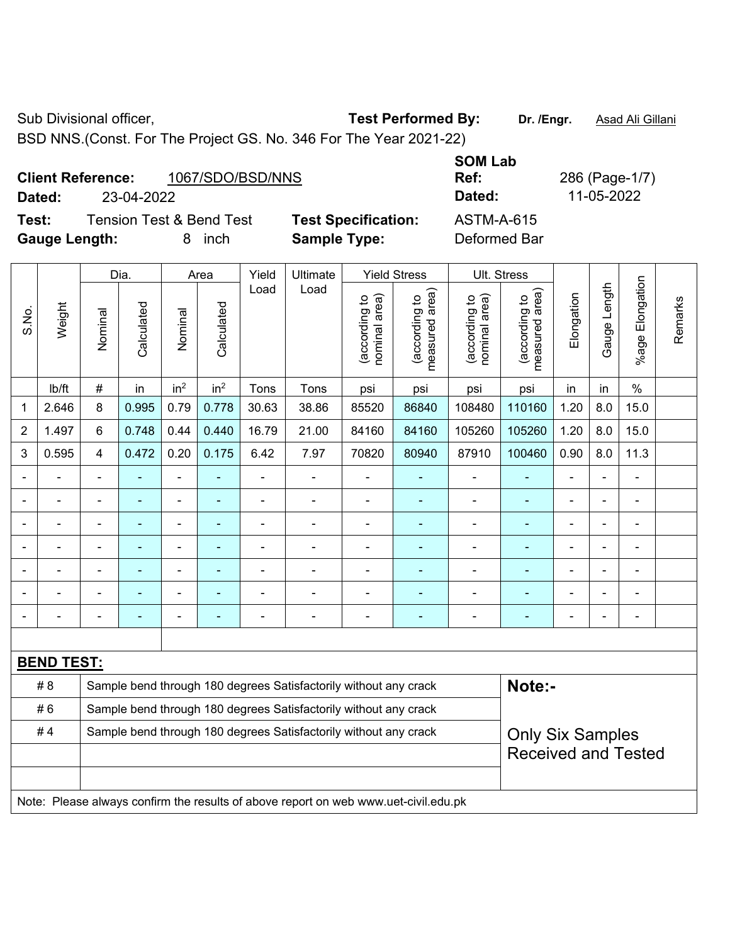BSD NNS.(Const. For The Project GS. No. 346 For The Year 2021-22)

**Test:** Tension Test & Bend Test **Test Specification:** ASTM-A-615 **Gauge Length:** 8 inch **Sample Type:** Deformed Bar

**SOM Lab Ref:** 286 (Page-1/7) **Dated:** 23-04-2022 **Dated:** 11-05-2022

|                |                   |                                                                                             | Dia.                     | Yield<br>Ultimate<br><b>Yield Stress</b><br>Area |                          |                          |                                                                                     |                                |                                 |                                | Ult. Stress                                 |                |                |                       |         |
|----------------|-------------------|---------------------------------------------------------------------------------------------|--------------------------|--------------------------------------------------|--------------------------|--------------------------|-------------------------------------------------------------------------------------|--------------------------------|---------------------------------|--------------------------------|---------------------------------------------|----------------|----------------|-----------------------|---------|
| S.No.          | Weight            | Nominal                                                                                     | Calculated               | Nominal                                          | Calculated               | Load                     | Load                                                                                | nominal area)<br>(according to | measured area)<br>(according to | (according to<br>nominal area) | (according to<br>neasured area)<br>measured | Elongation     | Gauge Length   | Elongation<br>$%$ age | Remarks |
|                | Ib/ft             | $\#$                                                                                        | in                       | in <sup>2</sup>                                  | in <sup>2</sup>          | Tons                     | Tons                                                                                | psi                            | psi                             | psi                            | psi                                         | in             | in             | $\%$                  |         |
| 1              | 2.646             | 8                                                                                           | 0.995                    | 0.79                                             | 0.778                    | 30.63                    | 38.86                                                                               | 85520                          | 86840                           | 108480                         | 110160                                      | 1.20           | 8.0            | 15.0                  |         |
| $\overline{2}$ | 1.497             | $6\phantom{1}$                                                                              | 0.748                    | 0.44                                             | 0.440                    | 16.79                    | 21.00                                                                               | 84160                          | 84160                           | 105260                         | 105260                                      | 1.20           | 8.0            | 15.0                  |         |
| 3              | 0.595             | 4                                                                                           | 0.472                    | 0.20                                             | 0.175                    | 6.42                     | 7.97                                                                                | 70820                          | 80940                           | 87910                          | 100460                                      | 0.90           | 8.0            | 11.3                  |         |
|                |                   |                                                                                             |                          |                                                  |                          | $\blacksquare$           |                                                                                     | ä,                             |                                 |                                |                                             |                |                |                       |         |
| ۰              |                   | $\blacksquare$                                                                              | $\overline{\phantom{0}}$ | $\overline{\phantom{a}}$                         | $\overline{a}$           | $\overline{\phantom{a}}$ | $\overline{\phantom{a}}$                                                            | $\blacksquare$                 | ٠                               | $\blacksquare$                 | ٠                                           | $\blacksquare$ | $\blacksquare$ | ÷                     |         |
| ۰              |                   | $\blacksquare$                                                                              | $\blacksquare$           | $\blacksquare$                                   |                          | $\blacksquare$           | $\blacksquare$                                                                      | $\blacksquare$                 |                                 | $\blacksquare$                 | ۰                                           | $\blacksquare$ | ÷.             | ÷                     |         |
|                |                   | $\blacksquare$                                                                              | ÷                        | ÷,                                               | $\blacksquare$           | $\blacksquare$           | ä,                                                                                  | $\blacksquare$                 | ٠                               | $\blacksquare$                 | ÷                                           | $\blacksquare$ | $\blacksquare$ | ä,                    |         |
|                |                   |                                                                                             |                          |                                                  |                          |                          |                                                                                     |                                |                                 |                                |                                             |                |                |                       |         |
|                |                   |                                                                                             |                          |                                                  |                          |                          |                                                                                     | -                              |                                 | ÷                              |                                             |                |                |                       |         |
|                |                   |                                                                                             |                          | $\blacksquare$                                   | $\overline{\phantom{a}}$ | $\blacksquare$           | $\blacksquare$                                                                      | $\blacksquare$                 | $\blacksquare$                  | $\blacksquare$                 | $\blacksquare$                              | $\blacksquare$ |                |                       |         |
|                |                   |                                                                                             |                          |                                                  |                          |                          |                                                                                     |                                |                                 |                                |                                             |                |                |                       |         |
|                | <b>BEND TEST:</b> |                                                                                             |                          |                                                  |                          |                          |                                                                                     |                                |                                 |                                |                                             |                |                |                       |         |
|                | #8                |                                                                                             |                          |                                                  |                          |                          | Sample bend through 180 degrees Satisfactorily without any crack                    |                                |                                 |                                | Note:-                                      |                |                |                       |         |
|                | #6                |                                                                                             |                          |                                                  |                          |                          | Sample bend through 180 degrees Satisfactorily without any crack                    |                                |                                 |                                |                                             |                |                |                       |         |
|                | #4                | Sample bend through 180 degrees Satisfactorily without any crack<br><b>Only Six Samples</b> |                          |                                                  |                          |                          |                                                                                     |                                |                                 |                                |                                             |                |                |                       |         |
|                |                   |                                                                                             |                          |                                                  |                          |                          |                                                                                     |                                |                                 |                                | <b>Received and Tested</b>                  |                |                |                       |         |
|                |                   |                                                                                             |                          |                                                  |                          |                          |                                                                                     |                                |                                 |                                |                                             |                |                |                       |         |
|                |                   |                                                                                             |                          |                                                  |                          |                          | Note: Please always confirm the results of above report on web www.uet-civil.edu.pk |                                |                                 |                                |                                             |                |                |                       |         |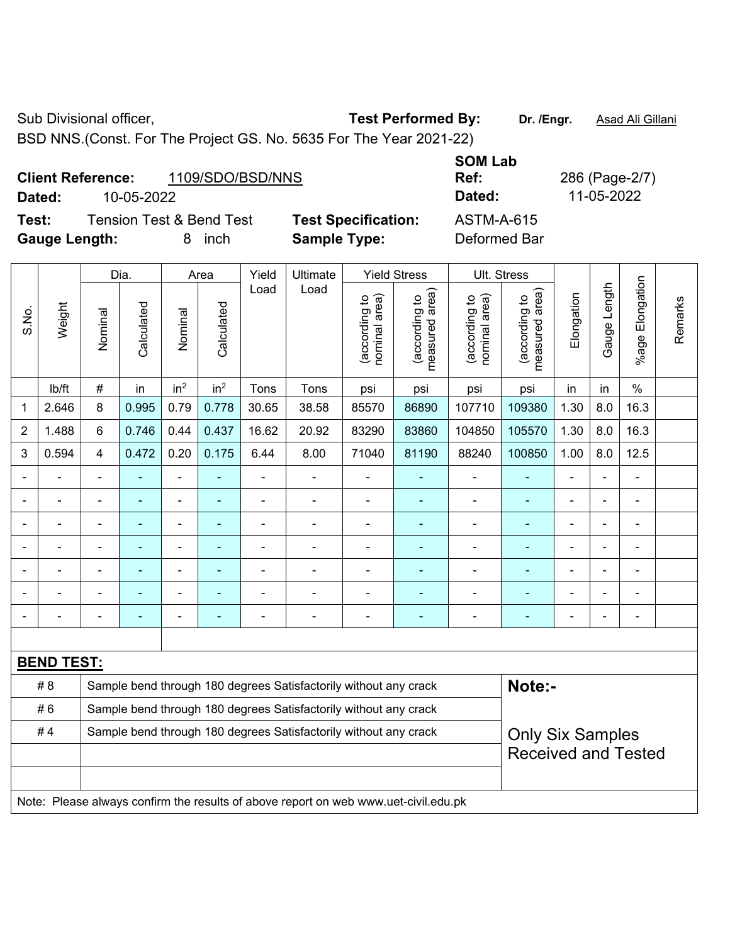Sub Divisional officer, **Test Performed By:** Dr. /Engr. **Asad Ali Gillani** Associated By: Dr. /Engr. **Asad Ali Gillani** 

BSD NNS.(Const. For The Project GS. No. 5635 For The Year 2021-22)

|                          |            |                  | _ _ _ _ _ _ _ _ _ |              |
|--------------------------|------------|------------------|-------------------|--------------|
| <b>Client Reference:</b> |            | 1109/SDO/BSD/NNS | Ref:              | 286 (Page-2/ |
| Dated:                   | 10-05-2022 |                  | Dated:            | 11-05-2022   |
|                          |            |                  |                   |              |

**Test:** Tension Test & Bend Test **Test Specification:** ASTM-A-615 **Gauge Length:** 8 inch **Sample Type:** Deformed Bar

**SOM Lab Ref:** 286 (Page-2/7)

|                |                   |                                                                                             | Dia.           |                          | Area            | Yield                    | Ultimate                                                                            |                                | <b>Yield Stress</b>             |                                | Ult. Stress                     |                |                |                          |         |  |
|----------------|-------------------|---------------------------------------------------------------------------------------------|----------------|--------------------------|-----------------|--------------------------|-------------------------------------------------------------------------------------|--------------------------------|---------------------------------|--------------------------------|---------------------------------|----------------|----------------|--------------------------|---------|--|
| S.No.          | Weight            | Nominal                                                                                     | Calculated     | Nominal                  | Calculated      | Load                     | Load                                                                                | (according to<br>nominal area) | (according to<br>measured area) | (according to<br>nominal area) | (according to<br>measured area) | Elongation     | Gauge Length   | Elongation<br>$%$ age    | Remarks |  |
|                | lb/ft             | $\#$                                                                                        | in             | in <sup>2</sup>          | in <sup>2</sup> | Tons                     | Tons                                                                                | psi                            | psi                             | psi                            | psi                             | in             | in             | $\frac{0}{0}$            |         |  |
| 1              | 2.646             | 8                                                                                           | 0.995          | 0.79                     | 0.778           | 30.65                    | 38.58                                                                               | 85570                          | 86890                           | 107710                         | 109380                          | 1.30           | 8.0            | 16.3                     |         |  |
| $\overline{2}$ | 1.488             | 6                                                                                           | 0.746          | 0.44                     | 0.437           | 16.62                    | 20.92                                                                               | 83290                          | 83860                           | 104850                         | 105570                          | 1.30           | 8.0            | 16.3                     |         |  |
| 3              | 0.594             | $\overline{4}$                                                                              | 0.472          | 0.20                     | 0.175           | 6.44                     | 8.00                                                                                | 71040                          | 81190                           | 88240                          | 100850                          | 1.00           | 8.0            | 12.5                     |         |  |
|                |                   | $\overline{\phantom{a}}$                                                                    | $\blacksquare$ | $\blacksquare$           | $\blacksquare$  |                          | $\blacksquare$                                                                      | $\blacksquare$                 | ٠                               | ÷,                             | $\blacksquare$                  | ÷,             |                | $\blacksquare$           |         |  |
|                | $\blacksquare$    | $\blacksquare$                                                                              | ÷,             | $\blacksquare$           | $\blacksquare$  | ä,                       | $\blacksquare$                                                                      | $\blacksquare$                 | $\blacksquare$                  | $\overline{\phantom{a}}$       | $\blacksquare$                  | ÷              |                | $\blacksquare$           |         |  |
|                |                   |                                                                                             | ÷              | ÷                        | ÷               | L,                       | ÷                                                                                   | $\blacksquare$                 | ۰                               | Ē,                             |                                 |                |                | ä,                       |         |  |
|                |                   |                                                                                             |                | ä,                       |                 |                          | $\blacksquare$                                                                      | $\blacksquare$                 | ٠                               | $\blacksquare$                 |                                 |                |                |                          |         |  |
| $\overline{a}$ |                   | ۰                                                                                           | $\blacksquare$ | $\overline{\phantom{a}}$ | ۰               | $\overline{\phantom{0}}$ | $\blacksquare$                                                                      | $\blacksquare$                 | ۰                               | $\blacksquare$                 | $\blacksquare$                  | $\blacksquare$ | $\blacksquare$ | $\overline{\phantom{a}}$ |         |  |
|                |                   | $\blacksquare$                                                                              | ÷              | $\blacksquare$           | $\blacksquare$  | ä,                       | $\overline{a}$                                                                      | $\blacksquare$                 | $\overline{\phantom{0}}$        | $\blacksquare$                 | $\overline{\phantom{a}}$        | Ē,             |                | ÷                        |         |  |
|                |                   |                                                                                             | ÷              | $\blacksquare$           | ÷               | $\overline{a}$           | $\blacksquare$                                                                      | $\blacksquare$                 | $\blacksquare$                  | ÷,                             | $\blacksquare$                  | L,             |                | ä,                       |         |  |
|                |                   |                                                                                             |                |                          |                 |                          |                                                                                     |                                |                                 |                                |                                 |                |                |                          |         |  |
|                | <b>BEND TEST:</b> |                                                                                             |                |                          |                 |                          |                                                                                     |                                |                                 |                                |                                 |                |                |                          |         |  |
|                | # 8               |                                                                                             |                |                          |                 |                          | Sample bend through 180 degrees Satisfactorily without any crack                    |                                |                                 |                                | Note:-                          |                |                |                          |         |  |
|                | #6                |                                                                                             |                |                          |                 |                          | Sample bend through 180 degrees Satisfactorily without any crack                    |                                |                                 |                                |                                 |                |                |                          |         |  |
|                | #4                | Sample bend through 180 degrees Satisfactorily without any crack<br><b>Only Six Samples</b> |                |                          |                 |                          |                                                                                     |                                |                                 |                                |                                 |                |                |                          |         |  |
|                |                   |                                                                                             |                |                          |                 |                          |                                                                                     |                                |                                 |                                | <b>Received and Tested</b>      |                |                |                          |         |  |
|                |                   |                                                                                             |                |                          |                 |                          |                                                                                     |                                |                                 |                                |                                 |                |                |                          |         |  |
|                |                   |                                                                                             |                |                          |                 |                          | Note: Please always confirm the results of above report on web www.uet-civil.edu.pk |                                |                                 |                                |                                 |                |                |                          |         |  |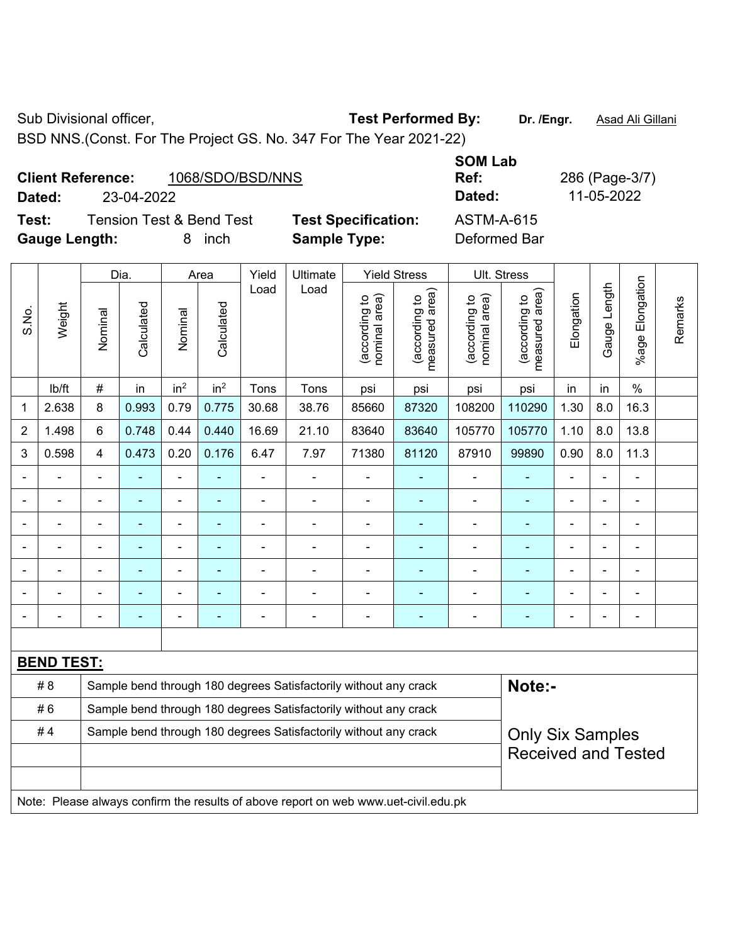Sub Divisional officer, **Test Performed By:** Dr. /Engr. **Asad Ali Gillani** Associated By: Dr. /Engr. **Asad Ali Gillani** 

BSD NNS.(Const. For The Project GS. No. 347 For The Year 2021-22)

|        | 1068/SDO/BSD/NNS<br><b>Client Reference:</b> |                            | --------<br>Ref: |
|--------|----------------------------------------------|----------------------------|------------------|
| Dated: | 23-04-2022                                   |                            | Dated:           |
| Test:  | Tension Test & Bend Test                     | <b>Test Specification:</b> | ASTM-A-615       |

**Gauge Length:** 8 inch **Sample Type:** Deformed Bar

**Ref:** 286 (Page-3/7) **Dated:** 23-04-2022 **Dated:** 11-05-2022

**SOM Lab** 

|                |                   |                                                                                             |                |                 |                 | Ult. Stress    |                                                                                     |                                |                                             |                                |                                 |                |                |                       |         |
|----------------|-------------------|---------------------------------------------------------------------------------------------|----------------|-----------------|-----------------|----------------|-------------------------------------------------------------------------------------|--------------------------------|---------------------------------------------|--------------------------------|---------------------------------|----------------|----------------|-----------------------|---------|
|                |                   |                                                                                             | Dia.           |                 | Area            | Yield          | Ultimate                                                                            |                                | <b>Yield Stress</b>                         |                                |                                 |                |                |                       |         |
| S.No.          | Weight            | Nominal                                                                                     | Calculated     | Nominal         | Calculated      | Load           | Load                                                                                | nominal area)<br>(according to | (according to<br>measured area)<br>measured | nominal area)<br>(according to | (according to<br>measured area) | Elongation     | Gauge Length   | Elongation<br>$%$ age | Remarks |
|                | lb/ft             | $\#$                                                                                        | in             | in <sup>2</sup> | in <sup>2</sup> | Tons           | Tons                                                                                | psi                            | psi                                         | psi                            | psi                             | in             | in             | $\%$                  |         |
| $\mathbf 1$    | 2.638             | 8                                                                                           | 0.993          | 0.79            | 0.775           | 30.68          | 38.76                                                                               | 85660                          | 87320                                       | 108200                         | 110290                          | 1.30           | 8.0            | 16.3                  |         |
| $\overline{2}$ | 1.498             | 6                                                                                           | 0.748          | 0.44            | 0.440           | 16.69          | 21.10                                                                               | 83640                          | 83640                                       | 105770                         | 105770                          | 1.10           | 8.0            | 13.8                  |         |
| 3              | 0.598             | $\overline{\mathbf{4}}$                                                                     | 0.473          | 0.20            | 0.176           | 6.47           | 7.97                                                                                | 71380                          | 81120                                       | 87910                          | 99890                           | 0.90           | 8.0            | 11.3                  |         |
|                |                   | $\blacksquare$                                                                              |                | ä,              |                 | $\blacksquare$ |                                                                                     |                                |                                             | $\blacksquare$                 | ٠                               | ä,             |                |                       |         |
|                |                   | ä,                                                                                          | $\blacksquare$ | $\blacksquare$  | $\blacksquare$  | $\blacksquare$ | $\blacksquare$                                                                      | $\blacksquare$                 | $\blacksquare$                              | $\overline{\phantom{a}}$       | ä,                              | ä,             |                | $\blacksquare$        |         |
|                |                   |                                                                                             |                | $\blacksquare$  |                 |                |                                                                                     | Ē,                             | $\blacksquare$                              | L,                             | ۰                               |                |                | $\blacksquare$        |         |
|                |                   |                                                                                             |                | L.              |                 |                |                                                                                     |                                |                                             | $\blacksquare$                 | ۰                               |                |                |                       |         |
|                |                   |                                                                                             |                | $\blacksquare$  | ٠               | $\blacksquare$ | $\blacksquare$                                                                      | $\blacksquare$                 | $\overline{a}$                              | $\blacksquare$                 | $\blacksquare$                  | Ē,             | $\blacksquare$ | $\blacksquare$        |         |
|                |                   |                                                                                             |                | $\blacksquare$  | $\blacksquare$  |                |                                                                                     | $\blacksquare$                 |                                             | $\blacksquare$                 | $\overline{\phantom{0}}$        | $\blacksquare$ |                | $\blacksquare$        |         |
|                |                   | L,                                                                                          |                | ÷               | ÷               | $\blacksquare$ | $\blacksquare$                                                                      | $\blacksquare$                 | $\blacksquare$                              | $\blacksquare$                 | ÷                               | ä,             |                | $\blacksquare$        |         |
|                |                   |                                                                                             |                |                 |                 |                |                                                                                     |                                |                                             |                                |                                 |                |                |                       |         |
|                | <b>BEND TEST:</b> |                                                                                             |                |                 |                 |                |                                                                                     |                                |                                             |                                |                                 |                |                |                       |         |
|                | # 8               |                                                                                             |                |                 |                 |                | Sample bend through 180 degrees Satisfactorily without any crack                    |                                |                                             |                                | Note:-                          |                |                |                       |         |
|                | #6                | Sample bend through 180 degrees Satisfactorily without any crack                            |                |                 |                 |                |                                                                                     |                                |                                             |                                |                                 |                |                |                       |         |
|                | #4                | Sample bend through 180 degrees Satisfactorily without any crack<br><b>Only Six Samples</b> |                |                 |                 |                |                                                                                     |                                |                                             |                                |                                 |                |                |                       |         |
|                |                   |                                                                                             |                |                 |                 |                |                                                                                     |                                |                                             |                                | <b>Received and Tested</b>      |                |                |                       |         |
|                |                   |                                                                                             |                |                 |                 |                |                                                                                     |                                |                                             |                                |                                 |                |                |                       |         |
|                |                   |                                                                                             |                |                 |                 |                | Note: Please always confirm the results of above report on web www.uet-civil.edu.pk |                                |                                             |                                |                                 |                |                |                       |         |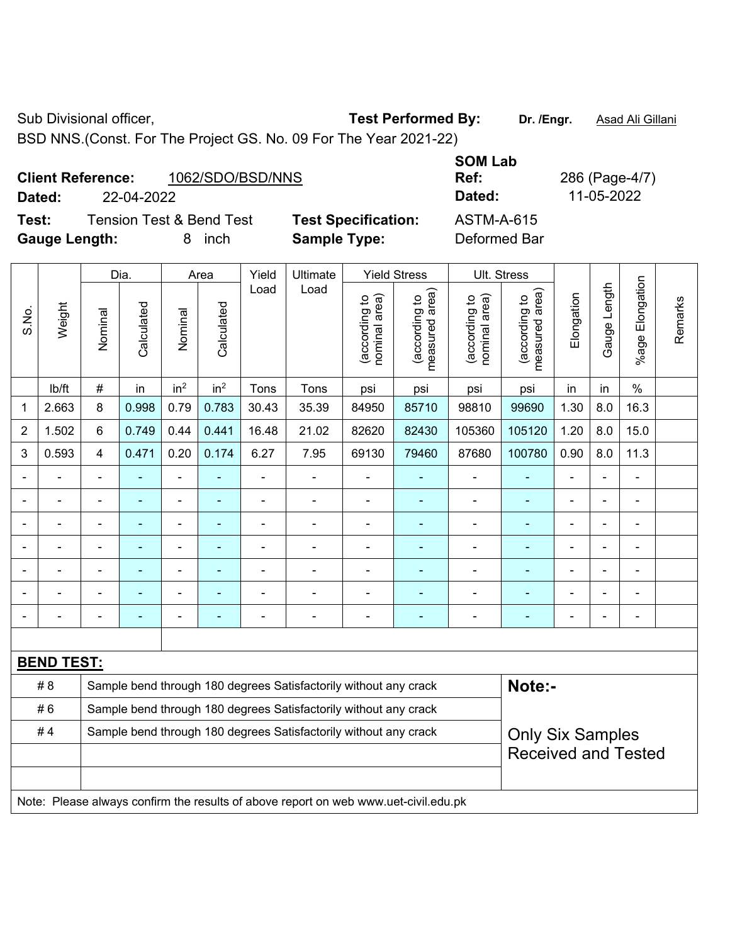Sub Divisional officer, **Test Performed By:** Dr. /Engr. **Asad Ali Gillani** Associated By: Dr. /Engr. **Asad Ali Gillani** 

BSD NNS.(Const. For The Project GS. No. 09 For The Year 2021-22)

|                      | <b>Client Reference:</b> | 1062/SDO/BSD/NNS                    |                            | <b>SOM Lab</b><br>Ref: |  |
|----------------------|--------------------------|-------------------------------------|----------------------------|------------------------|--|
| Dated:               | 22-04-2022               |                                     |                            | Dated:                 |  |
| Test:                |                          | <b>Tension Test &amp; Bend Test</b> | <b>Test Specification:</b> | ASTM-A-615             |  |
| <b>Gauge Length:</b> |                          | inch                                | <b>Sample Type:</b>        | Deformed Bar           |  |

|                |                   |                                                                                             | Dia.           |                              | Area            | Yield          | Ult. Stress                                                                         |                                |                                 |                                |                                 |                |              |                 |         |
|----------------|-------------------|---------------------------------------------------------------------------------------------|----------------|------------------------------|-----------------|----------------|-------------------------------------------------------------------------------------|--------------------------------|---------------------------------|--------------------------------|---------------------------------|----------------|--------------|-----------------|---------|
| S.No.          | Weight            | Nominal                                                                                     | Calculated     | Nominal                      | Calculated      | Load           | Load                                                                                | nominal area)<br>(according to | (according to<br>measured area) | nominal area)<br>(according to | (according to<br>measured area) | Elongation     | Gauge Length | %age Elongation | Remarks |
|                | lb/ft             | #                                                                                           | in             | in <sup>2</sup>              | in <sup>2</sup> | Tons           | Tons                                                                                | psi                            | psi                             | psi                            | psi                             | in             | in           | $\%$            |         |
| 1              | 2.663             | 8                                                                                           | 0.998          | 0.79                         | 0.783           | 30.43          | 35.39                                                                               | 84950                          | 85710                           | 98810                          | 99690                           | 1.30           | 8.0          | 16.3            |         |
| $\overline{2}$ | 1.502             | 6                                                                                           | 0.749          | 0.44                         | 0.441           | 16.48          | 21.02                                                                               | 82620                          | 82430                           | 105360                         | 105120                          | 1.20           | 8.0          | 15.0            |         |
| 3              | 0.593             | $\overline{4}$                                                                              | 0.471          | 0.20                         | 0.174           | 6.27           | 7.95                                                                                | 69130                          | 79460                           | 87680                          | 100780                          | 0.90           | 8.0          | 11.3            |         |
|                |                   | $\blacksquare$                                                                              | ä,             | ÷                            | ۰               | $\blacksquare$ | ÷                                                                                   | ä,                             | ۰                               | $\blacksquare$                 | $\blacksquare$                  | $\blacksquare$ |              | ÷,              |         |
|                |                   |                                                                                             | $\blacksquare$ | ÷,                           |                 |                | $\overline{a}$                                                                      | ä,                             |                                 | $\blacksquare$                 | $\blacksquare$                  |                |              |                 |         |
|                |                   |                                                                                             |                | $\qquad \qquad \blacksquare$ |                 |                | $\blacksquare$                                                                      | $\overline{\phantom{0}}$       |                                 | $\blacksquare$                 | $\blacksquare$                  |                |              |                 |         |
|                |                   |                                                                                             |                | ÷                            |                 |                |                                                                                     | -                              |                                 | ÷,                             | $\blacksquare$                  |                |              |                 |         |
|                |                   |                                                                                             | ۰              | ۰                            |                 | $\blacksquare$ | Ē,                                                                                  |                                |                                 | $\blacksquare$                 | $\blacksquare$                  | $\blacksquare$ |              | $\blacksquare$  |         |
|                |                   |                                                                                             | ۰              | ۰                            |                 |                | $\blacksquare$                                                                      |                                |                                 | ٠                              | $\blacksquare$                  |                |              | ÷               |         |
|                | ÷                 |                                                                                             | ÷,             | $\qquad \qquad \blacksquare$ |                 |                | ÷                                                                                   |                                |                                 | $\blacksquare$                 | $\blacksquare$                  | $\blacksquare$ |              | $\blacksquare$  |         |
|                |                   |                                                                                             |                |                              |                 |                |                                                                                     |                                |                                 |                                |                                 |                |              |                 |         |
|                | <b>BEND TEST:</b> |                                                                                             |                |                              |                 |                |                                                                                     |                                |                                 |                                |                                 |                |              |                 |         |
|                | # 8               |                                                                                             |                |                              |                 |                | Sample bend through 180 degrees Satisfactorily without any crack                    |                                |                                 |                                | Note:-                          |                |              |                 |         |
|                | #6                |                                                                                             |                |                              |                 |                | Sample bend through 180 degrees Satisfactorily without any crack                    |                                |                                 |                                |                                 |                |              |                 |         |
|                | #4                | Sample bend through 180 degrees Satisfactorily without any crack<br><b>Only Six Samples</b> |                |                              |                 |                |                                                                                     |                                |                                 |                                |                                 |                |              |                 |         |
|                |                   |                                                                                             |                |                              |                 |                |                                                                                     |                                |                                 |                                | <b>Received and Tested</b>      |                |              |                 |         |
|                |                   |                                                                                             |                |                              |                 |                |                                                                                     |                                |                                 |                                |                                 |                |              |                 |         |
|                |                   |                                                                                             |                |                              |                 |                | Note: Please always confirm the results of above report on web www.uet-civil.edu.pk |                                |                                 |                                |                                 |                |              |                 |         |

**Ref:** 286 (Page-4/7) **Dated:** 22-04-2022 **Dated:** 11-05-2022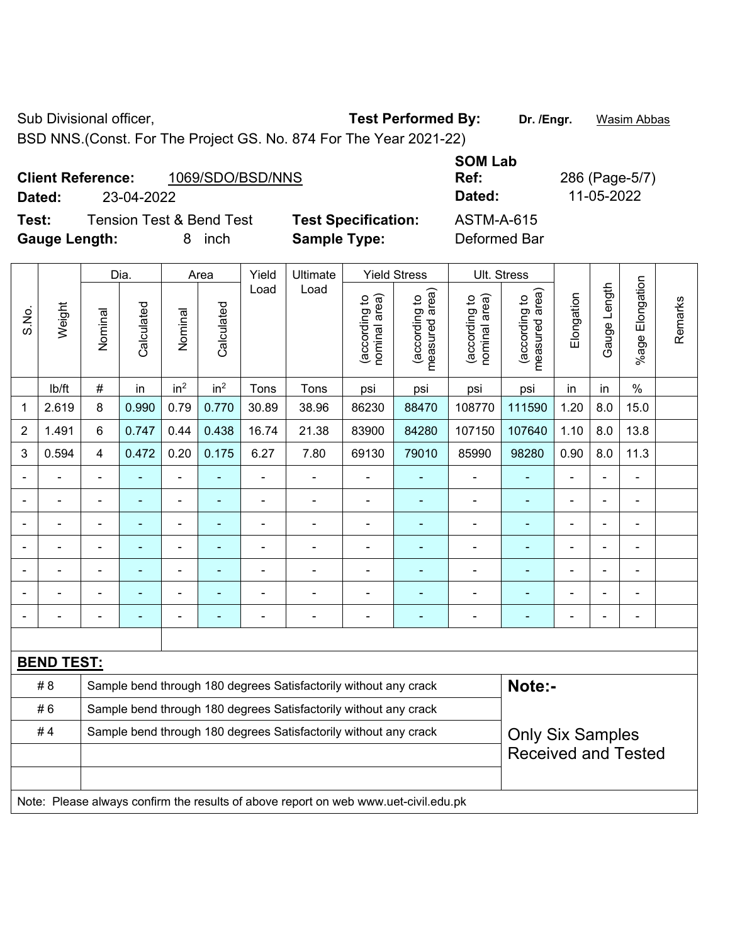Sub Divisional officer, **Test Performed By:** Dr. /Engr. **Wasim Abbas** 

BSD NNS.(Const. For The Project GS. No. 874 For The Year 2021-22)

|                      | <b>Client Reference:</b> | 1069/SDO/BSD/NNS                    |                            | <b>JUIVI LAN</b><br>Ref: |  |  |  |
|----------------------|--------------------------|-------------------------------------|----------------------------|--------------------------|--|--|--|
| Dated:               | 23-04-2022               |                                     |                            | Dated:                   |  |  |  |
| Test:                |                          | <b>Tension Test &amp; Bend Test</b> | <b>Test Specification:</b> | <b>ASTM-A-615</b>        |  |  |  |
| <b>Gauge Length:</b> |                          | inch                                | <b>Sample Type:</b>        | Deformed Bar             |  |  |  |

|                |                   |                | Dia.           |                 | Area            | Yield          | Ultimate                                                                            |                                | <b>Yield Stress</b>             |                                | Ult. Stress                                 |                |              |                       |         |
|----------------|-------------------|----------------|----------------|-----------------|-----------------|----------------|-------------------------------------------------------------------------------------|--------------------------------|---------------------------------|--------------------------------|---------------------------------------------|----------------|--------------|-----------------------|---------|
| S.No.          | Weight            | Nominal        | Calculated     | Nominal         | Calculated      | Load           | Load                                                                                | nominal area)<br>(according to | (according to<br>measured area) | (according to<br>nominal area) | (according to<br>neasured area)<br>measured | Elongation     | Gauge Length | Elongation<br>$%$ age | Remarks |
|                | lb/ft             | $\#$           | in             | in <sup>2</sup> | in <sup>2</sup> | Tons           | Tons                                                                                | psi                            | psi                             | psi                            | psi                                         | in             | in           | $\frac{0}{0}$         |         |
| 1              | 2.619             | 8              | 0.990          | 0.79            | 0.770           | 30.89          | 38.96                                                                               | 86230                          | 88470                           | 108770                         | 111590                                      | 1.20           | 8.0          | 15.0                  |         |
| $\overline{2}$ | 1.491             | 6              | 0.747          | 0.44            | 0.438           | 16.74          | 21.38                                                                               | 83900                          | 84280                           | 107150                         | 107640                                      | 1.10           | 8.0          | 13.8                  |         |
| 3              | 0.594             | $\overline{4}$ | 0.472          | 0.20            | 0.175           | 6.27           | 7.80                                                                                | 69130                          | 79010                           | 85990                          | 98280                                       | 0.90           | 8.0          | 11.3                  |         |
|                |                   | $\blacksquare$ | ÷,             | ÷,              | $\blacksquare$  | ä,             | $\blacksquare$                                                                      | $\blacksquare$                 | ÷                               | $\blacksquare$                 | $\blacksquare$                              | ä,             |              | ÷,                    |         |
|                |                   | $\blacksquare$ | ÷,             | $\blacksquare$  | ٠               | $\blacksquare$ | $\blacksquare$                                                                      | $\blacksquare$                 | ۰                               | $\blacksquare$                 | $\blacksquare$                              | $\blacksquare$ |              | $\blacksquare$        |         |
|                |                   | $\blacksquare$ | ÷,             | $\blacksquare$  | ٠               | $\blacksquare$ | $\blacksquare$                                                                      | ÷,                             | ۰                               | $\blacksquare$                 | $\blacksquare$                              | L.             |              | $\blacksquare$        |         |
|                |                   |                | ä,             | ä,              | $\blacksquare$  |                | ä,                                                                                  | L,                             |                                 | $\blacksquare$                 | ä,                                          | $\blacksquare$ |              | ä,                    |         |
|                |                   |                |                | ÷               |                 |                | Ē,                                                                                  | $\blacksquare$                 |                                 | $\blacksquare$                 |                                             |                |              | $\blacksquare$        |         |
|                |                   |                |                | $\blacksquare$  | ۳               | $\blacksquare$ | $\blacksquare$                                                                      | -                              | ۰                               | $\blacksquare$                 | ٠                                           | $\blacksquare$ |              | $\blacksquare$        |         |
| $\blacksquare$ |                   | $\blacksquare$ | $\blacksquare$ | Ē,              | ٠               | Ē,             | $\overline{\phantom{0}}$                                                            | $\blacksquare$                 | $\blacksquare$                  | $\overline{\phantom{a}}$       | $\blacksquare$                              | $\blacksquare$ |              | $\blacksquare$        |         |
|                |                   |                |                |                 |                 |                |                                                                                     |                                |                                 |                                |                                             |                |              |                       |         |
|                | <b>BEND TEST:</b> |                |                |                 |                 |                |                                                                                     |                                |                                 |                                |                                             |                |              |                       |         |
|                | # 8               |                |                |                 |                 |                | Sample bend through 180 degrees Satisfactorily without any crack                    |                                |                                 |                                | Note:-                                      |                |              |                       |         |
|                | #6                |                |                |                 |                 |                | Sample bend through 180 degrees Satisfactorily without any crack                    |                                |                                 |                                |                                             |                |              |                       |         |
|                | #4                |                |                |                 |                 |                | Sample bend through 180 degrees Satisfactorily without any crack                    |                                |                                 |                                | <b>Only Six Samples</b>                     |                |              |                       |         |
|                |                   |                |                |                 |                 |                |                                                                                     |                                |                                 |                                | <b>Received and Tested</b>                  |                |              |                       |         |
|                |                   |                |                |                 |                 |                |                                                                                     |                                |                                 |                                |                                             |                |              |                       |         |
|                |                   |                |                |                 |                 |                | Note: Please always confirm the results of above report on web www.uet-civil.edu.pk |                                |                                 |                                |                                             |                |              |                       |         |

**SOM Lab Ref:** 286 (Page-5/7) **Dated:** 23-04-2022 **Dated:** 11-05-2022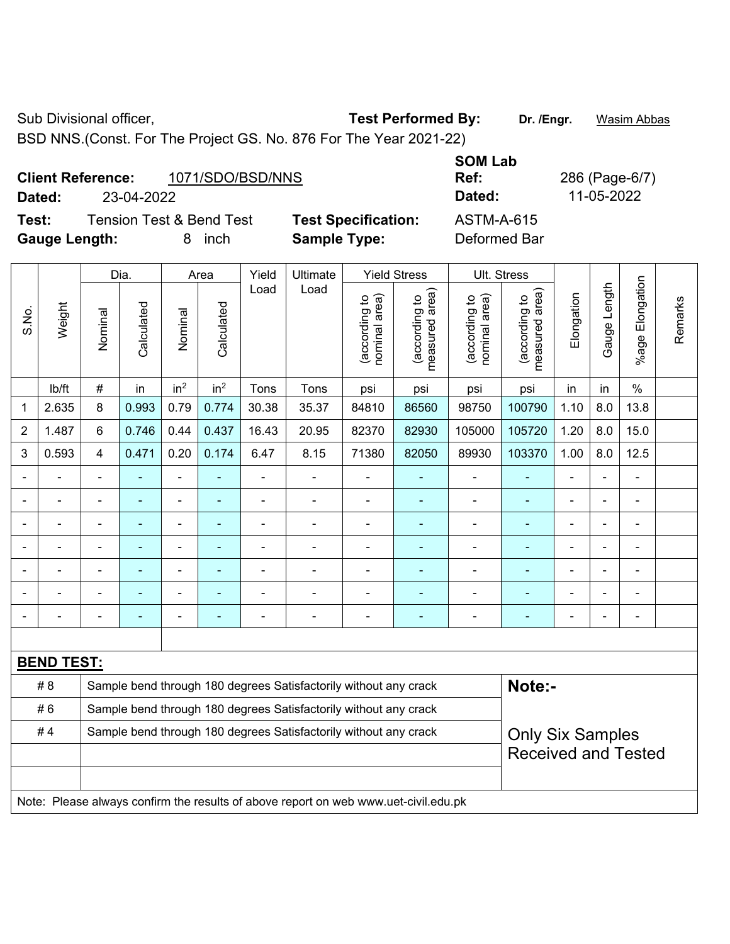Sub Divisional officer, **Test Performed By:** Dr. /Engr. **Wasim Abbas** 

BSD NNS.(Const. For The Project GS. No. 876 For The Year 2021-22)

|        | <b>Client Reference:</b> | 1071/SDO/BSD/NNS         |                            | <b>SOM Lab</b><br>Ref: |
|--------|--------------------------|--------------------------|----------------------------|------------------------|
| Dated: | 23-04-2022               |                          |                            | Dated:                 |
| Test:  |                          | Tension Test & Bend Test | <b>Test Specification:</b> | $ASTM-A-6$             |

**Dated:** 23-04-2022 **Dated:** 11-05-2022 **Test:** Tension Test & Bend Test **Test Specification:** ASTM-A-615

**Ref:** 286 (Page-6/7)

| <b>Gauge Length:</b>     |                                                                                                                                                                  |                | 8          | inch                                             |                 | <b>Sample Type:</b> |                                                                  |                                | Deformed Bar                    |                                |                                                       |                |                |                       |         |
|--------------------------|------------------------------------------------------------------------------------------------------------------------------------------------------------------|----------------|------------|--------------------------------------------------|-----------------|---------------------|------------------------------------------------------------------|--------------------------------|---------------------------------|--------------------------------|-------------------------------------------------------|----------------|----------------|-----------------------|---------|
|                          |                                                                                                                                                                  |                | Dia.       | Yield<br>Ultimate<br><b>Yield Stress</b><br>Area |                 |                     | Ult. Stress                                                      |                                |                                 |                                |                                                       |                |                |                       |         |
| S.No.                    | Weight                                                                                                                                                           | Nominal        | Calculated | Nominal                                          | Calculated      | Load                | Load                                                             | nominal area)<br>(according to | (according to<br>measured area) | (according to<br>nominal area) | (according to<br>measured area)<br>measured           | Elongation     | Gauge Length   | Elongation<br>$%$ age | Remarks |
|                          | lb/ft                                                                                                                                                            | $\#$           | in         | in <sup>2</sup>                                  | in <sup>2</sup> | Tons                | Tons                                                             | psi                            | psi                             | psi                            | psi                                                   | in             | in             | $\%$                  |         |
| $\mathbf 1$              | 2.635                                                                                                                                                            | 8              | 0.993      | 0.79                                             | 0.774           | 30.38               | 35.37                                                            | 84810                          | 86560                           | 98750                          | 100790                                                | 1.10           | 8.0            | 13.8                  |         |
| $\overline{2}$           | 1.487                                                                                                                                                            | $6\phantom{1}$ | 0.746      | 0.44                                             | 0.437           | 16.43               | 20.95                                                            | 82370                          | 82930                           | 105000                         | 105720                                                | 1.20           | 8.0            | 15.0                  |         |
| 3                        | 0.593                                                                                                                                                            | $\overline{4}$ | 0.471      | 0.20                                             | 0.174           | 6.47                | 8.15                                                             | 71380                          | 82050                           | 89930                          | 103370                                                | 1.00           | 8.0            | 12.5                  |         |
| $\overline{\phantom{a}}$ |                                                                                                                                                                  | $\blacksquare$ |            |                                                  |                 | ä,                  |                                                                  | ä,                             |                                 | $\blacksquare$                 |                                                       | $\blacksquare$ |                |                       |         |
| $\overline{\phantom{a}}$ |                                                                                                                                                                  | $\blacksquare$ | ÷,         | ۰                                                | ۰               | ä,                  | $\blacksquare$                                                   | $\blacksquare$                 | ۰                               | ä,                             | $\overline{\phantom{a}}$                              | $\blacksquare$ | $\blacksquare$ |                       |         |
|                          |                                                                                                                                                                  |                |            |                                                  |                 |                     |                                                                  |                                |                                 |                                |                                                       |                |                |                       |         |
|                          |                                                                                                                                                                  |                |            |                                                  |                 |                     |                                                                  |                                |                                 |                                |                                                       |                |                |                       |         |
| $\blacksquare$           |                                                                                                                                                                  |                | ۰          |                                                  |                 |                     |                                                                  | $\blacksquare$                 |                                 |                                |                                                       |                |                |                       |         |
| $\blacksquare$           |                                                                                                                                                                  |                |            |                                                  |                 | $\blacksquare$      |                                                                  | ä,                             |                                 | ä,                             |                                                       |                |                |                       |         |
|                          | ÷                                                                                                                                                                |                |            |                                                  |                 |                     |                                                                  | $\blacksquare$                 |                                 | $\blacksquare$                 |                                                       |                |                |                       |         |
|                          |                                                                                                                                                                  |                |            |                                                  |                 |                     |                                                                  |                                |                                 |                                |                                                       |                |                |                       |         |
|                          |                                                                                                                                                                  |                |            |                                                  |                 |                     |                                                                  |                                |                                 |                                |                                                       |                |                |                       |         |
|                          | <u>BEND TEST:</u><br># 8<br>Sample bend through 180 degrees Satisfactorily without any crack<br>Sample bend through 180 degrees Satisfactorily without any crack |                |            |                                                  |                 |                     |                                                                  |                                |                                 | Note:-                         |                                                       |                |                |                       |         |
|                          | #6                                                                                                                                                               |                |            |                                                  |                 |                     |                                                                  |                                |                                 |                                |                                                       |                |                |                       |         |
|                          | #4                                                                                                                                                               |                |            |                                                  |                 |                     | Sample bend through 180 degrees Satisfactorily without any crack |                                |                                 |                                | <b>Only Six Samples</b><br><b>Received and Tested</b> |                |                |                       |         |
|                          |                                                                                                                                                                  |                |            |                                                  |                 |                     |                                                                  |                                |                                 |                                |                                                       |                |                |                       |         |

Note: Please always confirm the results of above report on web www.uet-civil.edu.pk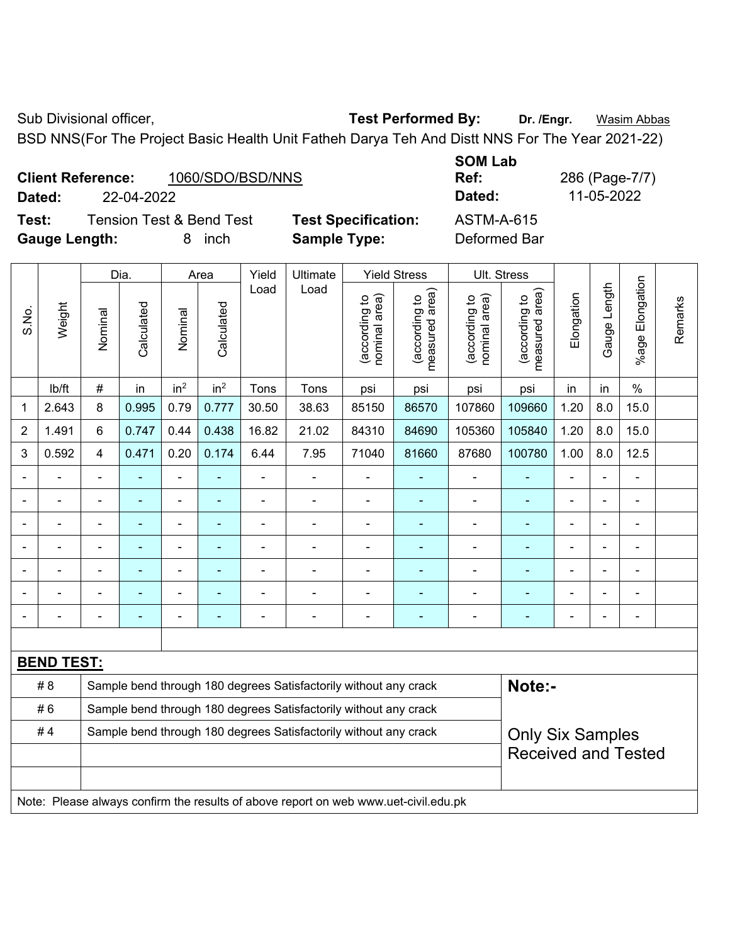Sub Divisional officer, **Test Performed By:** Dr. /Engr. **Wasim Abbas** 

BSD NNS(For The Project Basic Health Unit Fatheh Darya Teh And Distt NNS For The Year 2021-22)

| <b>Client Reference:</b> |            | 1060/SDO/BSD/NNS | Ref:   | 286 (Page-7/ |
|--------------------------|------------|------------------|--------|--------------|
| Dated:                   | 22-04-2022 |                  | Dated: | 11-05-2022   |

**Test:** Tension Test & Bend Test **Test Specification:** ASTM-A-615 **Gauge Length:** 8 inch **Sample Type:** Deformed Bar

**SOM Lab Ref:** 286 (Page-7/7)

|                 |                   |                                                                  | Dia.           |                 | Area            | Yield                    | <b>Ultimate</b>                                                                     |                                | <b>Yield Stress</b>                         | Ult. Stress                    |                                             |                |                          |                       |         |
|-----------------|-------------------|------------------------------------------------------------------|----------------|-----------------|-----------------|--------------------------|-------------------------------------------------------------------------------------|--------------------------------|---------------------------------------------|--------------------------------|---------------------------------------------|----------------|--------------------------|-----------------------|---------|
| Weight<br>S.No. |                   | Nominal                                                          | Calculated     | Nominal         | Calculated      | Load                     | Load                                                                                | nominal area)<br>(according to | (according to<br>measured area)<br>measured | nominal area)<br>(according to | (according to<br>measured area)<br>measured | Elongation     | Gauge Length             | Elongation<br>$%$ age | Remarks |
|                 | lb/ft             | $\#$                                                             | in             | in <sup>2</sup> | in <sup>2</sup> | Tons                     | Tons                                                                                | psi                            | psi                                         | psi                            | psi                                         | in             | in                       | $\%$                  |         |
| 1               | 2.643             | 8                                                                | 0.995          | 0.79            | 0.777           | 30.50                    | 38.63                                                                               | 85150                          | 86570                                       | 107860                         | 109660                                      | 1.20           | 8.0                      | 15.0                  |         |
| $\overline{2}$  | 1.491             | 6                                                                | 0.747          | 0.44            | 0.438           | 16.82                    | 21.02                                                                               | 84310                          | 84690                                       | 105360                         | 105840                                      | 1.20           | 8.0                      | 15.0                  |         |
| 3               | 0.592             | $\overline{4}$                                                   | 0.471          | 0.20            | 0.174           | 6.44                     | 7.95                                                                                | 71040                          | 81660                                       | 87680                          | 100780                                      | 1.00           | 8.0                      | 12.5                  |         |
|                 |                   | ä,                                                               |                | ä,              | $\blacksquare$  | $\overline{\phantom{a}}$ |                                                                                     |                                |                                             | ÷                              | ÷                                           | $\blacksquare$ |                          | Ĭ.                    |         |
|                 |                   | $\blacksquare$                                                   | ٠              | ä,              | $\blacksquare$  | $\blacksquare$           | $\blacksquare$                                                                      | $\blacksquare$                 | $\blacksquare$                              | ÷,                             | $\blacksquare$                              | $\blacksquare$ |                          | ÷,                    |         |
|                 |                   |                                                                  |                |                 |                 | $\blacksquare$           |                                                                                     |                                |                                             |                                |                                             |                |                          | ÷                     |         |
|                 |                   |                                                                  |                | $\blacksquare$  |                 |                          | $\blacksquare$                                                                      |                                |                                             | $\blacksquare$                 |                                             |                |                          | $\blacksquare$        |         |
|                 |                   | $\blacksquare$                                                   |                | ۰               | ٠               | $\blacksquare$           | $\blacksquare$                                                                      | $\blacksquare$                 |                                             | $\overline{\phantom{0}}$       | $\overline{a}$                              | $\blacksquare$ | $\overline{\phantom{0}}$ | ۰                     |         |
|                 |                   | $\blacksquare$                                                   | $\overline{a}$ | ä,              | $\blacksquare$  | $\blacksquare$           | $\blacksquare$                                                                      | $\blacksquare$                 | $\blacksquare$                              | $\blacksquare$                 | $\blacksquare$                              | $\blacksquare$ |                          | ä,                    |         |
|                 |                   |                                                                  |                | $\blacksquare$  | ä,              | $\blacksquare$           | $\blacksquare$                                                                      |                                | $\blacksquare$                              | ÷                              | $\blacksquare$                              |                |                          | ä,                    |         |
|                 |                   |                                                                  |                |                 |                 |                          |                                                                                     |                                |                                             |                                |                                             |                |                          |                       |         |
|                 | <b>BEND TEST:</b> |                                                                  |                |                 |                 |                          |                                                                                     |                                |                                             |                                |                                             |                |                          |                       |         |
|                 | # 8               |                                                                  |                |                 |                 |                          | Sample bend through 180 degrees Satisfactorily without any crack                    |                                |                                             |                                | Note:-                                      |                |                          |                       |         |
|                 | #6                |                                                                  |                |                 |                 |                          | Sample bend through 180 degrees Satisfactorily without any crack                    |                                |                                             |                                |                                             |                |                          |                       |         |
|                 | #4                | Sample bend through 180 degrees Satisfactorily without any crack |                |                 |                 |                          |                                                                                     |                                |                                             |                                | <b>Only Six Samples</b>                     |                |                          |                       |         |
|                 |                   |                                                                  |                |                 |                 |                          |                                                                                     |                                |                                             |                                | <b>Received and Tested</b>                  |                |                          |                       |         |
|                 |                   |                                                                  |                |                 |                 |                          |                                                                                     |                                |                                             |                                |                                             |                |                          |                       |         |
|                 |                   |                                                                  |                |                 |                 |                          | Note: Please always confirm the results of above report on web www.uet-civil.edu.pk |                                |                                             |                                |                                             |                |                          |                       |         |